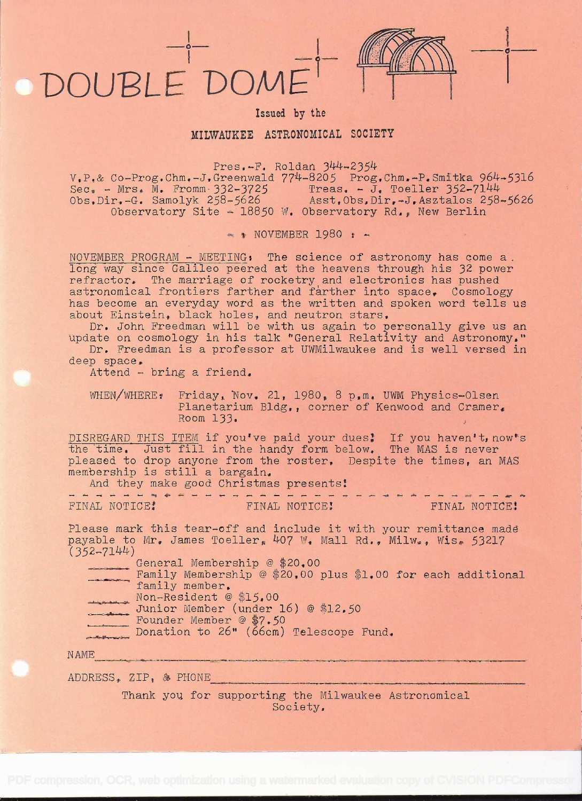# DOUBLE DOMI

### Issued by the

# MILWAUKEE ASTRONOMICAL SOCIETY

Pres.-F. Roldan 344-2354

 $V_{\bullet}P_{\bullet}$ & Co-Prog.Chm.-J.Greenwald  $774-8205$  Prog.Chm.-P.Smitka  $964-5316$ Sec. - Mrs. M. Fromm  $332-3725$  Treas. - J. Toeller  $352-7144$ Obs.Dir,-G. Samolyk 258-5626 Asst,Obs1Dir,-J,Asztalos 258-5626 Observatory Site - 18850 W. Observatory Rd., New Berlin

 $\sim$  NOVEMBER 1980 :  $\sim$ 

NOVEMBER PROGRAM - MEETING: The science of astronomy has come a. long way since Galileo peered at the heavens through his 32 power refractor. The marriage of rocketry and electronics has pushed astronomical frontiers farther and farther into space. Cosmology has become an everyday word as the written and spoken word tells us about Einstein, black holes, and neutron stars,

Dr, John Freedman will be with us again to personally give us an update on cosmology in his talk "General Relativity and Astronomy."

Dr. Freedman is a professor at UWMilwaukee and is well versed in deep space.

Attend - bring a friend.

WHEN/WHERE: Friday, Nov. 21, 1980, 8 p.m. UWM Physics-Olsen Planetarium Bldg,, corner of Kenwood and Cramer. Room  $133.$ 

DISREGARD THIS ITEM if you've paid your dues! If you haven't, now's the time. Just fill in the handy form below. The MAS is never pleased to drop anyone from the roster. Despite the times, an MAS membership is still a bargain,

And they make good Christmas presents ----------- ; ----------------------

| FINAL NOTICE! |  |  |  |  |  |  | FINAL NOT |  |
|---------------|--|--|--|--|--|--|-----------|--|

ICE! FINAL NOTICE!

0

Please mark this tear-off and include it with your remittance made payable to Mr. James Toeller,  $407$  W. Mall Rd., Milw., Wis. 53217  $(352 - 7144)$ 

General Membership @ \$20,00

Family Membership @ \$20,00 plus \$1,00 for each additional family member, Non-Resident @ \$15.00

- Junior Member (under 16) @ \$12.50
- Founder Member @ \$7.50
- Donation to 26" (66cm) Telescope Fund,

NAME

ADDRESS, ZIP, & PHONE

Thank you for supporting the Milwaukee Astronomical Society,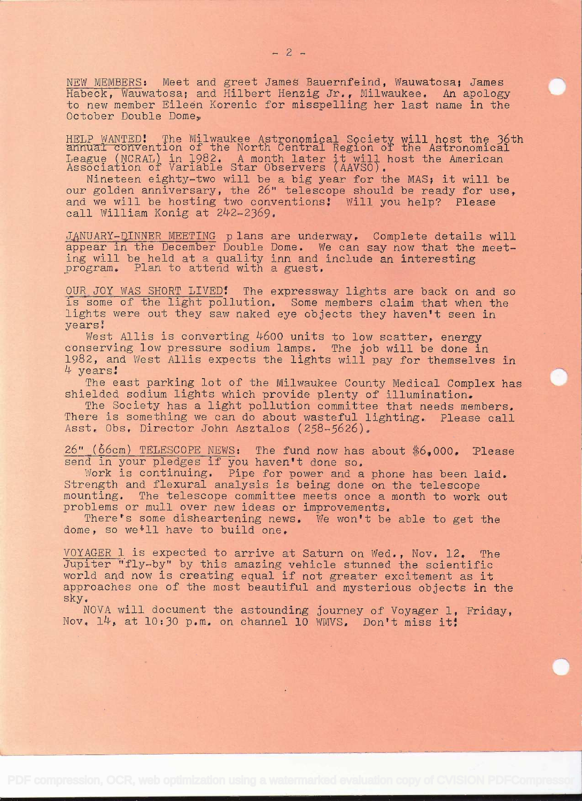NEWMEMBERS: Meet and greet James Bauernfeind, Wauwatosa; James Habeck, Wauwatosa; and Hilbert Henzig Jr., Milwaukee. An apology<br>to new member Eileen Korenic for misspelling her last name in the October Double Dome,

HELP WANTED! The Milwaukee Astronomical Society will host the 36th annual convention of the North Central Region of the Astronomical League (NCRAL) in 1982. A month later it will host the American Association of Variable Star Observers (AAVSO).<br>Nineteen eighty-two will be a big year for the MAS; it will be our golden anniversary, the 26" telescope shoul

and we will be hosting two conventions: Will you help? Please call William Konig at 242-2369.

JANUARY-DINNER MEETING plans are underway. Complete details will appear in the December Double Dome. We can say now that the meeting will be held at a quality inn and include an interesting program. Plan to attend with a guest.

OUR JOY WAS SHORT LIVED! The expressway lights are back on and so is some of the light pollution. Some members claim that when the lights were out they saw naked eye objects they haven't seen in years!

West Allis is converting 4600 units to low scatter, energy conserving low pressure sodium lamps. The job will be done in 1982, and West Allis expects the lights will pay for themselves in 4 years!

The east parking lot of the Milwaukee County Medical Complex has shielded sodium lights which provide plenty of illumination.

The Society has a light pollution committee that needs members. There is something we can do about wasteful lighting. Please call<br>Asst. Obs. Director John Asztalos (258-5626),

26" (66cm) TELESCOPE NEWS: The fund now has about \$6,000. Please send in your pledges if you haven't done so.<br>Work is continuing. Pipe for power and a phone has been laid.

Strength and flexural analysis is being done on the telescope mounting. The telescope committee meets once a month to work out problems or mull over new ideas or improvements. There's some disheartening news. We won't be a

dome, so we<sup>\$11</sup> have to build one.

VOYAGER 1 is expected to arrive at Saturn on Wed., Nov. 12. The<br>Jupiter "fly-by" by this amazing vehicle stunned the scientific<br>world and now is creating equal if not greater excitement as it<br>approaches one of the most bea

NOVA will document the astounding journey of Voyager 1, Friday, Nov. 14, at 10:30 p.m. on channel 10 WMVS. Don't miss it!